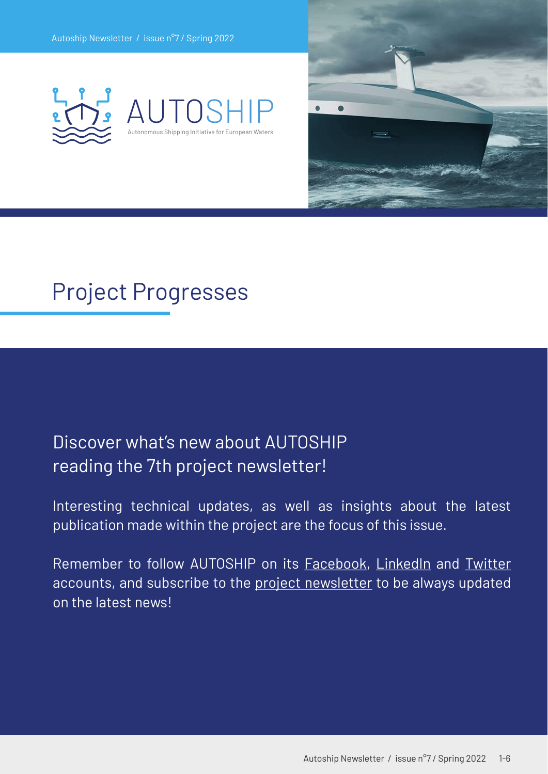



## Project Progresses

### Discover what's new about AUTOSHIP reading the 7th project newsletter!

Interesting technical updates, [as well as insigh](https://www.autoship-project.eu/newsletter/)[ts about](https://www.linkedin.com/company/autoship/) the [latest](https://twitter.com/AutoshipProject)  publication made within the project are the focus of this issue.

Remember to follow AUTOSHIP on its [Facebook,](https://www.facebook.com/Autoship2020/) [LinkedIn](https://www.linkedin.com/company/autoship/) and [Twitter](https://twitter.com/AutoshipProject) accounts, and subscribe to the [project newsletter](https://www.autoship-project.eu/newsletter/) to be always updated on the latest news!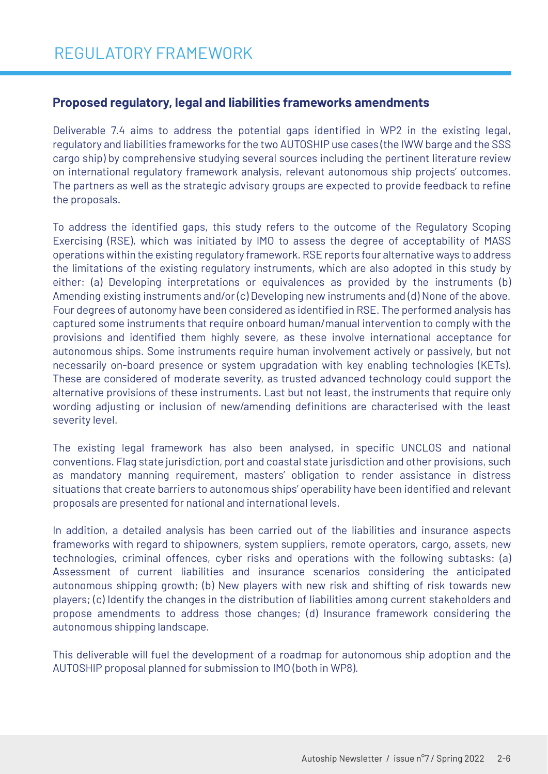#### **Proposed regulatory, legal and liabilities frameworks amendments**

Deliverable 7.4 aims to address the potential gaps identified in WP2 in the existing legal, regulatory and liabilities frameworks for the two AUTOSHIP use cases (the IWW barge and the SSS cargo ship) by comprehensive studying several sources including the pertinent literature review on international regulatory framework analysis, relevant autonomous ship projects' outcomes. The partners as well as the strategic advisory groups are expected to provide feedback to refine the proposals.

To address the identified gaps, this study refers to the outcome of the Regulatory Scoping Exercising (RSE), which was initiated by IMO to assess the degree of acceptability of MASS operations within the existing regulatory framework. RSE reports four alternative ways to address the limitations of the existing regulatory instruments, which are also adopted in this study by either: (a) Developing interpretations or equivalences as provided by the instruments (b) Amending existing instruments and/or (c) Developing new instruments and (d) None of the above. Four degrees of autonomy have been considered as identified in RSE. The performed analysis has captured some instruments that require onboard human/manual intervention to comply with the provisions and identified them highly severe, as these involve international acceptance for autonomous ships. Some instruments require human involvement actively or passively, but not necessarily on-board presence or system upgradation with key enabling technologies (KETs). These are considered of moderate severity, as trusted advanced technology could support the alternative provisions of these instruments. Last but not least, the instruments that require only wording adjusting or inclusion of new/amending definitions are characterised with the least severity level.

The existing legal framework has also been analysed, in specific UNCLOS and national conventions. Flag state jurisdiction, port and coastal state jurisdiction and other provisions, such as mandatory manning requirement, masters' obligation to render assistance in distress situations that create barriers to autonomous ships' operability have been identified and relevant proposals are presented for national and international levels.

In addition, a detailed analysis has been carried out of the liabilities and insurance aspects frameworks with regard to shipowners, system suppliers, remote operators, cargo, assets, new technologies, criminal offences, cyber risks and operations with the following subtasks: (a) Assessment of current liabilities and insurance scenarios considering the anticipated autonomous shipping growth; (b) New players with new risk and shifting of risk towards new players; (c) Identify the changes in the distribution of liabilities among current stakeholders and propose amendments to address those changes; (d) Insurance framework considering the autonomous shipping landscape.

This deliverable will fuel the development of a roadmap for autonomous ship adoption and the AUTOSHIP proposal planned for submission to IMO (both in WP8).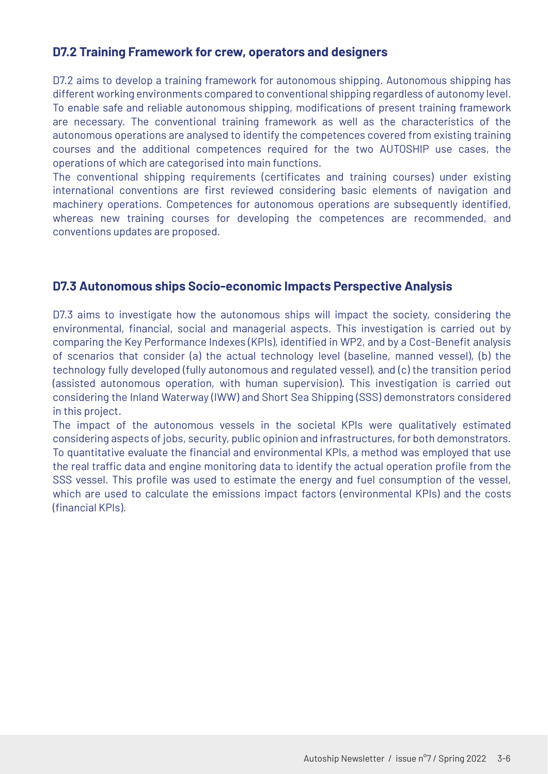#### **D7.2 Training Framework for crew, operators and designers**

D7.2 aims to develop a training framework for autonomous shipping. Autonomous shipping has different working environments compared to conventional shipping regardless of autonomy level. To enable safe and reliable autonomous shipping, modifications of present training framework are necessary. The conventional training framework as well as the characteristics of the autonomous operations are analysed to identify the competences covered from existing training courses and the additional competences required for the two AUTOSHIP use cases, the operations of which are categorised into main functions.

The conventional shipping requirements (certificates and training courses) under existing international conventions are first reviewed considering basic elements of navigation and machinery operations. Competences for autonomous operations are subsequently identified, whereas new training courses for developing the competences are recommended, and conventions updates are proposed.

#### **D7.3 Autonomous ships Socio-economic Impacts Perspective Analysis**

D7.3 aims to investigate how the autonomous ships will impact the society, considering the environmental, financial, social and managerial aspects. This investigation is carried out by comparing the Key Performance Indexes (KPIs), identified in WP2, and by a Cost-Benefit analysis of scenarios that consider (a) the actual technology level (baseline, manned vessel), (b) the technology fully developed (fully autonomous and regulated vessel), and (c) the transition period (assisted autonomous operation, with human supervision). This investigation is carried out considering the Inland Waterway (IWW) and Short Sea Shipping (SSS) demonstrators considered in this project.

The impact of the autonomous vessels in the societal KPIs were qualitatively estimated considering aspects of jobs, security, public opinion and infrastructures, for both demonstrators. To quantitative evaluate the financial and environmental KPIs, a method was employed that use the real traffic data and engine monitoring data to identify the actual operation profile from the SSS vessel. This profile was used to estimate the energy and fuel consumption of the vessel, which are used to calculate the emissions impact factors (environmental KPIs) and the costs (financial KPIs).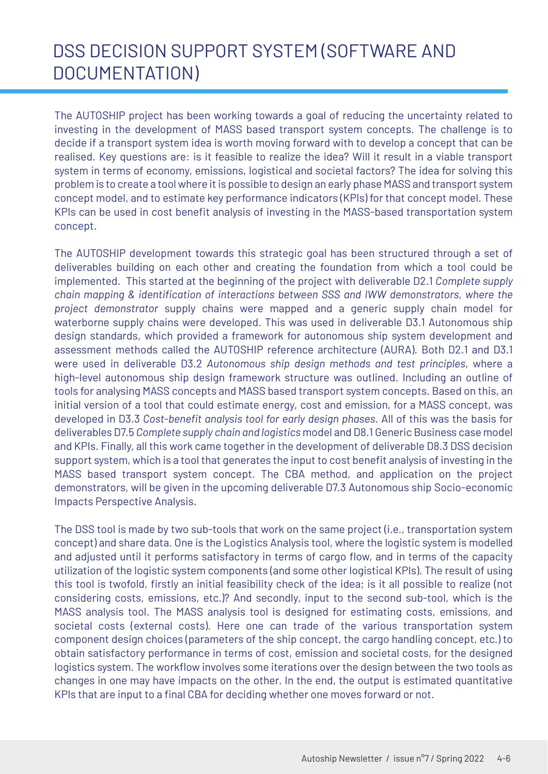## DSS DECISION SUPPORT SYSTEM (SOFTWARE AND DOCUMENTATION)

The AUTOSHIP project has been working towards a goal of reducing the uncertainty related to investing in the development of MASS based transport system concepts. The challenge is to decide if a transport system idea is worth moving forward with to develop a concept that can be realised. Key questions are: is it feasible to realize the idea? Will it result in a viable transport system in terms of economy, emissions, logistical and societal factors? The idea for solving this problem is to create a tool where it is possible to design an early phase MASS and transport system concept model, and to estimate key performance indicators (KPIs) for that concept model. These KPIs can be used in cost benefit analysis of investing in the MASS-based transportation system concept.

The AUTOSHIP development towards this strategic goal has been structured through a set of deliverables building on each other and creating the foundation from which a tool could be implemented. This started at the beginning of the project with deliverable D2.1 *Complete supply chain mapping & identification of interactions between SSS and IWW demonstrators, where the project demonstrator* supply chains were mapped and a generic supply chain model for waterborne supply chains were developed. This was used in deliverable D3.1 Autonomous ship design standards, which provided a framework for autonomous ship system development and assessment methods called the AUTOSHIP reference architecture (AURA). Both D2.1 and D3.1 were used in deliverable D3.2 *Autonomous ship design methods and test principles*, where a high-level autonomous ship design framework structure was outlined. Including an outline of tools for analysing MASS concepts and MASS based transport system concepts. Based on this, an initial version of a tool that could estimate energy, cost and emission, for a MASS concept, was developed in D3.3 *Cost-benefit analysis tool for early design phases*. All of this was the basis for deliverables D7.5 *Complete supply chain and logistics* model and D8.1 Generic Business case model and KPIs. Finally, all this work came together in the development of deliverable D8.3 DSS decision support system, which is a tool that generates the input to cost benefit analysis of investing in the MASS based transport system concept. The CBA method, and application on the project demonstrators, will be given in the upcoming deliverable D7.3 Autonomous ship Socio-economic Impacts Perspective Analysis.

The DSS tool is made by two sub-tools that work on the same project (i.e., transportation system concept) and share data. One is the Logistics Analysis tool, where the logistic system is modelled and adjusted until it performs satisfactory in terms of cargo flow, and in terms of the capacity utilization of the logistic system components (and some other logistical KPIs). The result of using this tool is twofold, firstly an initial feasibility check of the idea; is it all possible to realize (not considering costs, emissions, etc.)? And secondly, input to the second sub-tool, which is the MASS analysis tool. The MASS analysis tool is designed for estimating costs, emissions, and societal costs (external costs). Here one can trade of the various transportation system component design choices (parameters of the ship concept, the cargo handling concept, etc.) to obtain satisfactory performance in terms of cost, emission and societal costs, for the designed logistics system. The workflow involves some iterations over the design between the two tools as changes in one may have impacts on the other. In the end, the output is estimated quantitative KPIs that are input to a final CBA for deciding whether one moves forward or not.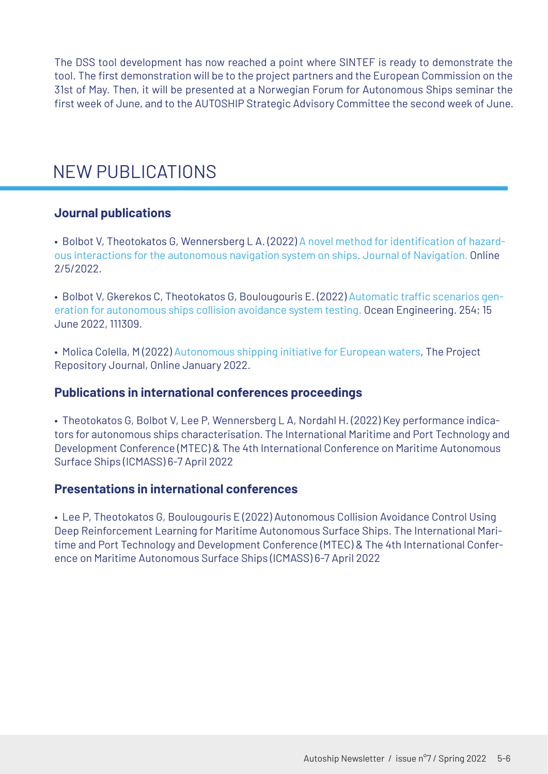The DSS tool development has now reached a point where SINTEF is ready to demonstrate the tool. The first demonstration will be to the project partners and the European Commission on the 31st of May. Then, it will be presented at a Norwegian Forum for Autonomous Ships seminar the first week of June, and to the AUTOSHIP Strategic Advisory Committee the second week of June.

### NEW PUBLICATIONS

#### **Journal publications**

[• Bolbot V, Theotokatos G, Wennersberg L A. \(2022\) A novel method for identification of hazard](https://www.cambridge.org/core/journals/journal-of-navigation/article/method-to-identify-and-rank-objects-and-hazardous-interactions-affecting-autonomous-ships-navigation/4CC173235C962C787DE935E9CC4EFE93)ous interactions for the autonomous navigation system on ships. Journal of Navigation. Online 2/5/2022.

• Bolbot V, Gkerekos C, Theotokatos G, Boulougouris E. (2022) Automatic traffic scenarios gen[eration for autonomous ships collision avoidance system testing. Ocean Engineering. 254; 15](https://doi.org/10.1016/j.oceaneng.2022.111309)  June 2022, 111309.

• Molica Colella, M (2022) [Autonomous shipping initiative for European waters](https://www.autoship-project.eu/wp-content/uploads/2022/01/AUTOSHIP-article.pdf), The Project Repository Journal, Online January 2022.

#### **Publications in international conferences proceedings**

• Theotokatos G, Bolbot V, Lee P, Wennersberg L A, Nordahl H. (2022) Key performance indicators for autonomous ships characterisation. The International Maritime and Port Technology and Development Conference (MTEC) & The 4th International Conference on Maritime Autonomous Surface Ships (ICMASS) 6-7 April 2022

#### **Presentations in international conferences**

• Lee P, Theotokatos G, Boulougouris E (2022) Autonomous Collision Avoidance Control Using Deep Reinforcement Learning for Maritime Autonomous Surface Ships. The International Maritime and Port Technology and Development Conference (MTEC) & The 4th International Conference on Maritime Autonomous Surface Ships (ICMASS) 6-7 April 2022